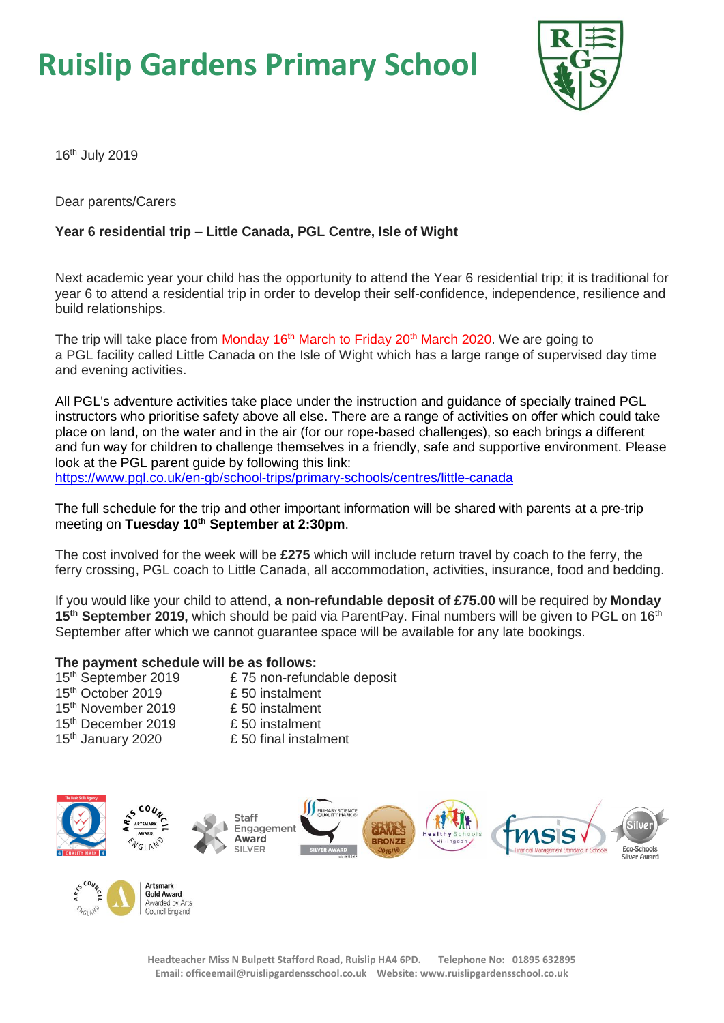## **Ruislip Gardens Primary School**



16th July 2019

Dear parents/Carers

## **Year 6 residential trip – Little Canada, PGL Centre, Isle of Wight**

Next academic year your child has the opportunity to attend the Year 6 residential trip; it is traditional for year 6 to attend a residential trip in order to develop their self-confidence, independence, resilience and build relationships.

The trip will take place from Monday 16<sup>th</sup> March to Friday 20<sup>th</sup> March 2020. We are going to a PGL facility called Little Canada on the Isle of Wight which has a large range of supervised day time and evening activities.

All PGL's adventure activities take place under the instruction and guidance of specially trained PGL instructors who prioritise safety above all else. There are a range of activities on offer which could take place on land, on the water and in the air (for our rope-based challenges), so each brings a different and fun way for children to challenge themselves in a friendly, safe and supportive environment. Please look at the PGL parent guide by following this link: <https://www.pgl.co.uk/en-gb/school-trips/primary-schools/centres/little-canada>

The full schedule for the trip and other important information will be shared with parents at a pre-trip meeting on **Tuesday 10th September at 2:30pm**.

The cost involved for the week will be **£275** which will include return travel by coach to the ferry, the ferry crossing, PGL coach to Little Canada, all accommodation, activities, insurance, food and bedding.

If you would like your child to attend, **a non-refundable deposit of £75.00** will be required by **Monday 15th September 2019,** which should be paid via ParentPay. Final numbers will be given to PGL on 16th September after which we cannot guarantee space will be available for any late bookings.

## **The payment schedule will be as follows:**

- 15<sup>th</sup> September 2019 E 75 non-refundable deposit 15<sup>th</sup> October 2019 **E** 50 instalment
- 15th November 2019 £ 50 instalment
- 15<sup>th</sup> December 2019 **£ 50** instalment
- 
- 15th January 2020 £ 50 final instalment